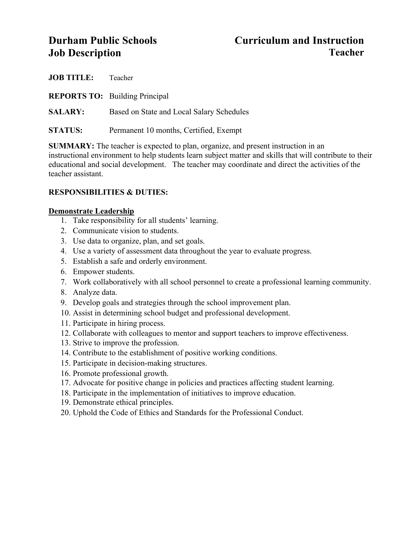# **Durham Public Schools Curriculum and Instruction Job Description Teacher**

| <b>JOB TITLE:</b> | Teacher                                   |
|-------------------|-------------------------------------------|
|                   | <b>REPORTS TO:</b> Building Principal     |
| <b>SALARY:</b>    | Based on State and Local Salary Schedules |
| <b>STATUS:</b>    | Permanent 10 months, Certified, Exempt    |

**SUMMARY:** The teacher is expected to plan, organize, and present instruction in an instructional environment to help students learn subject matter and skills that will contribute to their educational and social development. The teacher may coordinate and direct the activities of the teacher assistant.

# **RESPONSIBILITIES & DUTIES:**

### **Demonstrate Leadership**

- 1. Take responsibility for all students' learning.
- 2. Communicate vision to students.
- 3. Use data to organize, plan, and set goals.
- 4. Use a variety of assessment data throughout the year to evaluate progress.
- 5. Establish a safe and orderly environment.
- 6. Empower students.
- 7. Work collaboratively with all school personnel to create a professional learning community.
- 8. Analyze data.
- 9. Develop goals and strategies through the school improvement plan.
- 10. Assist in determining school budget and professional development.
- 11. Participate in hiring process.
- 12. Collaborate with colleagues to mentor and support teachers to improve effectiveness.
- 13. Strive to improve the profession.
- 14. Contribute to the establishment of positive working conditions.
- 15. Participate in decision-making structures.
- 16. Promote professional growth.
- 17. Advocate for positive change in policies and practices affecting student learning.
- 18. Participate in the implementation of initiatives to improve education.
- 19. Demonstrate ethical principles.
- 20. Uphold the Code of Ethics and Standards for the Professional Conduct.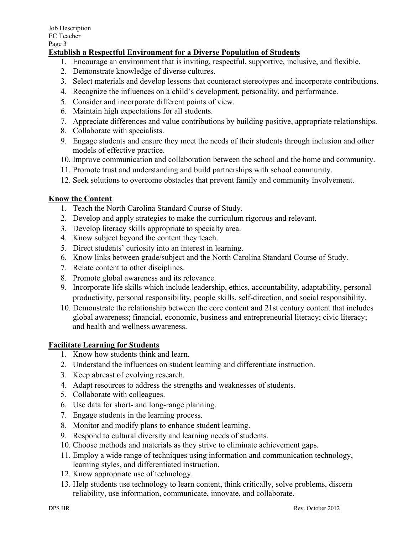# **Establish a Respectful Environment for a Diverse Population of Students**

- 1. Encourage an environment that is inviting, respectful, supportive, inclusive, and flexible.
- 2. Demonstrate knowledge of diverse cultures.
- 3. Select materials and develop lessons that counteract stereotypes and incorporate contributions.
- 4. Recognize the influences on a child's development, personality, and performance.
- 5. Consider and incorporate different points of view.
- 6. Maintain high expectations for all students.
- 7. Appreciate differences and value contributions by building positive, appropriate relationships.
- 8. Collaborate with specialists.
- 9. Engage students and ensure they meet the needs of their students through inclusion and other models of effective practice.
- 10. Improve communication and collaboration between the school and the home and community.
- 11. Promote trust and understanding and build partnerships with school community.
- 12. Seek solutions to overcome obstacles that prevent family and community involvement.

# **Know the Content**

- 1. Teach the North Carolina Standard Course of Study.
- 2. Develop and apply strategies to make the curriculum rigorous and relevant.
- 3. Develop literacy skills appropriate to specialty area.
- 4. Know subject beyond the content they teach.
- 5. Direct students' curiosity into an interest in learning.
- 6. Know links between grade/subject and the North Carolina Standard Course of Study.
- 7. Relate content to other disciplines.
- 8. Promote global awareness and its relevance.
- 9. Incorporate life skills which include leadership, ethics, accountability, adaptability, personal productivity, personal responsibility, people skills, self-direction, and social responsibility.
- 10. Demonstrate the relationship between the core content and 21st century content that includes global awareness; financial, economic, business and entrepreneurial literacy; civic literacy; and health and wellness awareness.

# **Facilitate Learning for Students**

- 1. Know how students think and learn.
- 2. Understand the influences on student learning and differentiate instruction.
- 3. Keep abreast of evolving research.
- 4. Adapt resources to address the strengths and weaknesses of students.
- 5. Collaborate with colleagues.
- 6. Use data for short- and long-range planning.
- 7. Engage students in the learning process.
- 8. Monitor and modify plans to enhance student learning.
- 9. Respond to cultural diversity and learning needs of students.
- 10. Choose methods and materials as they strive to eliminate achievement gaps.
- 11. Employ a wide range of techniques using information and communication technology, learning styles, and differentiated instruction.
- 12. Know appropriate use of technology.
- 13. Help students use technology to learn content, think critically, solve problems, discern reliability, use information, communicate, innovate, and collaborate.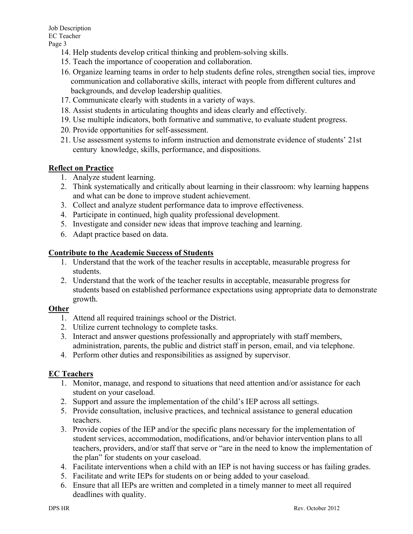- 14. Help students develop critical thinking and problem-solving skills.
- 15. Teach the importance of cooperation and collaboration.
- 16. Organize learning teams in order to help students define roles, strengthen social ties, improve communication and collaborative skills, interact with people from different cultures and backgrounds, and develop leadership qualities.
- 17. Communicate clearly with students in a variety of ways.
- 18. Assist students in articulating thoughts and ideas clearly and effectively.
- 19. Use multiple indicators, both formative and summative, to evaluate student progress.
- 20. Provide opportunities for self-assessment.
- 21. Use assessment systems to inform instruction and demonstrate evidence of students' 21st century knowledge, skills, performance, and dispositions.

#### **Reflect on Practice**

- 1. Analyze student learning.
- 2. Think systematically and critically about learning in their classroom: why learning happens and what can be done to improve student achievement.
- 3. Collect and analyze student performance data to improve effectiveness.
- 4. Participate in continued, high quality professional development.
- 5. Investigate and consider new ideas that improve teaching and learning.
- 6. Adapt practice based on data.

### **Contribute to the Academic Success of Students**

- 1. Understand that the work of the teacher results in acceptable, measurable progress for students.
- 2. Understand that the work of the teacher results in acceptable, measurable progress for students based on established performance expectations using appropriate data to demonstrate growth.

# **Other**

- 1. Attend all required trainings school or the District.
- 2. Utilize current technology to complete tasks.
- 3. Interact and answer questions professionally and appropriately with staff members, administration, parents, the public and district staff in person, email, and via telephone.
- 4. Perform other duties and responsibilities as assigned by supervisor.

# **EC Teachers**

- 1. Monitor, manage, and respond to situations that need attention and/or assistance for each student on your caseload.
- 2. Support and assure the implementation of the child's IEP across all settings.
- 5. Provide consultation, inclusive practices, and technical assistance to general education teachers.
- 3. Provide copies of the IEP and/or the specific plans necessary for the implementation of student services, accommodation, modifications, and/or behavior intervention plans to all teachers, providers, and/or staff that serve or "are in the need to know the implementation of the plan" for students on your caseload.
- 4. Facilitate interventions when a child with an IEP is not having success or has failing grades.
- 5. Facilitate and write IEPs for students on or being added to your caseload.
- 6. Ensure that all IEPs are written and completed in a timely manner to meet all required deadlines with quality.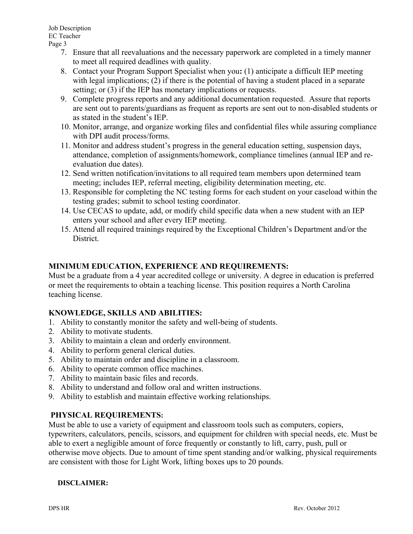Job Description EC Teacher Page 3

- 7. Ensure that all reevaluations and the necessary paperwork are completed in a timely manner to meet all required deadlines with quality.
- 8. Contact your Program Support Specialist when you**:** (1) anticipate a difficult IEP meeting with legal implications; (2) if there is the potential of having a student placed in a separate setting; or (3) if the IEP has monetary implications or requests.
- 9. Complete progress reports and any additional documentation requested. Assure that reports are sent out to parents/guardians as frequent as reports are sent out to non-disabled students or as stated in the student's IEP.
- 10. Monitor, arrange, and organize working files and confidential files while assuring compliance with DPI audit process/forms.
- 11. Monitor and address student's progress in the general education setting, suspension days, attendance, completion of assignments/homework, compliance timelines (annual IEP and reevaluation due dates).
- 12. Send written notification/invitations to all required team members upon determined team meeting; includes IEP, referral meeting, eligibility determination meeting, etc.
- 13. Responsible for completing the NC testing forms for each student on your caseload within the testing grades; submit to school testing coordinator.
- 14. Use CECAS to update, add, or modify child specific data when a new student with an IEP enters your school and after every IEP meeting.
- 15. Attend all required trainings required by the Exceptional Children's Department and/or the **District**

# **MINIMUM EDUCATION, EXPERIENCE AND REQUIREMENTS:**

Must be a graduate from a 4 year accredited college or university. A degree in education is preferred or meet the requirements to obtain a teaching license. This position requires a North Carolina teaching license.

# **KNOWLEDGE, SKILLS AND ABILITIES:**

- 1. Ability to constantly monitor the safety and well-being of students.
- 2. Ability to motivate students.
- 3. Ability to maintain a clean and orderly environment.
- 4. Ability to perform general clerical duties.
- 5. Ability to maintain order and discipline in a classroom.
- 6. Ability to operate common office machines.
- 7. Ability to maintain basic files and records.
- 8. Ability to understand and follow oral and written instructions.
- 9. Ability to establish and maintain effective working relationships.

# **PHYSICAL REQUIREMENTS:**

Must be able to use a variety of equipment and classroom tools such as computers, copiers,

typewriters, calculators, pencils, scissors, and equipment for children with special needs, etc. Must be able to exert a negligible amount of force frequently or constantly to lift, carry, push, pull or otherwise move objects. Due to amount of time spent standing and/or walking, physical requirements are consistent with those for Light Work, lifting boxes ups to 20 pounds.

#### **DISCLAIMER:**